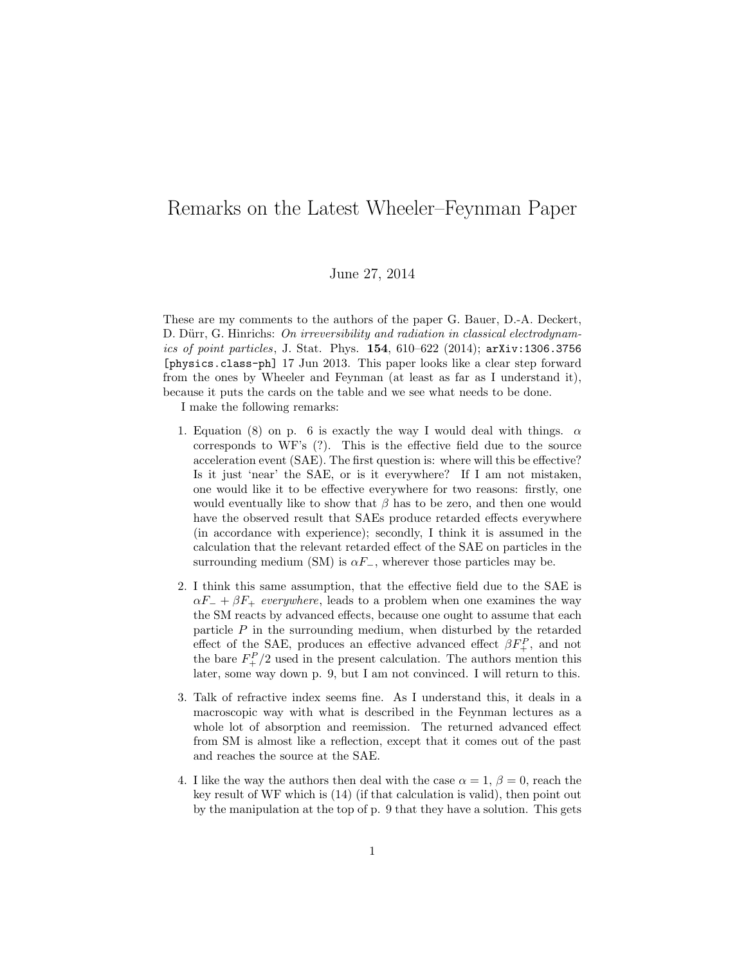## Remarks on the Latest Wheeler–Feynman Paper

## June 27, 2014

These are my comments to the authors of the paper G. Bauer, D.-A. Deckert, D. Dürr, G. Hinrichs: On irreversibility and radiation in classical electrodynamics of point particles, J. Stat. Phys. 154, 610-622 (2014); arXiv:1306.3756 [physics.class-ph] 17 Jun 2013. This paper looks like a clear step forward from the ones by Wheeler and Feynman (at least as far as I understand it), because it puts the cards on the table and we see what needs to be done.

I make the following remarks:

- 1. Equation (8) on p. 6 is exactly the way I would deal with things.  $\alpha$ corresponds to WF's (?). This is the effective field due to the source acceleration event (SAE). The first question is: where will this be effective? Is it just 'near' the SAE, or is it everywhere? If I am not mistaken, one would like it to be effective everywhere for two reasons: firstly, one would eventually like to show that  $\beta$  has to be zero, and then one would have the observed result that SAEs produce retarded effects everywhere (in accordance with experience); secondly, I think it is assumed in the calculation that the relevant retarded effect of the SAE on particles in the surrounding medium (SM) is  $\alpha F_$ , wherever those particles may be.
- 2. I think this same assumption, that the effective field due to the SAE is  $\alpha F_+$  +  $\beta F_+$  everywhere, leads to a problem when one examines the way the SM reacts by advanced effects, because one ought to assume that each particle  $P$  in the surrounding medium, when disturbed by the retarded effect of the SAE, produces an effective advanced effect  $\beta F_+^P$ , and not the bare  $F_{+}^{P}/2$  used in the present calculation. The authors mention this later, some way down p. 9, but I am not convinced. I will return to this.
- 3. Talk of refractive index seems fine. As I understand this, it deals in a macroscopic way with what is described in the Feynman lectures as a whole lot of absorption and reemission. The returned advanced effect from SM is almost like a reflection, except that it comes out of the past and reaches the source at the SAE.
- 4. I like the way the authors then deal with the case  $\alpha = 1, \beta = 0$ , reach the key result of WF which is (14) (if that calculation is valid), then point out by the manipulation at the top of p. 9 that they have a solution. This gets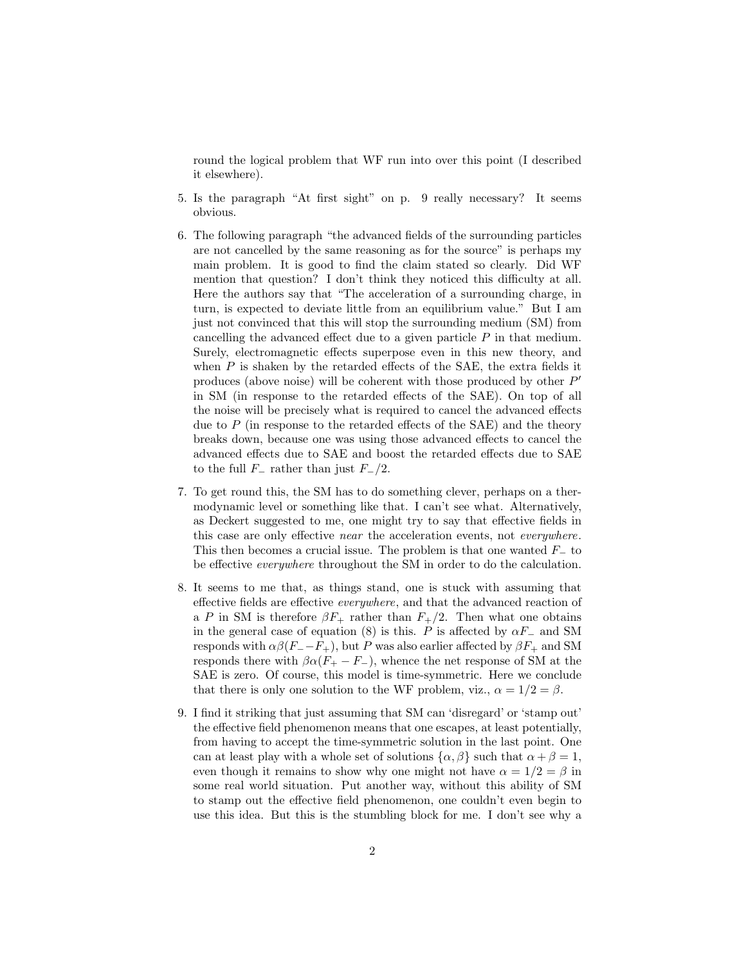round the logical problem that WF run into over this point (I described it elsewhere).

- 5. Is the paragraph "At first sight" on p. 9 really necessary? It seems obvious.
- 6. The following paragraph "the advanced fields of the surrounding particles are not cancelled by the same reasoning as for the source" is perhaps my main problem. It is good to find the claim stated so clearly. Did WF mention that question? I don't think they noticed this difficulty at all. Here the authors say that "The acceleration of a surrounding charge, in turn, is expected to deviate little from an equilibrium value." But I am just not convinced that this will stop the surrounding medium (SM) from cancelling the advanced effect due to a given particle  $P$  in that medium. Surely, electromagnetic effects superpose even in this new theory, and when  $P$  is shaken by the retarded effects of the SAE, the extra fields it produces (above noise) will be coherent with those produced by other  $P'$ in SM (in response to the retarded effects of the SAE). On top of all the noise will be precisely what is required to cancel the advanced effects due to  $P$  (in response to the retarded effects of the SAE) and the theory breaks down, because one was using those advanced effects to cancel the advanced effects due to SAE and boost the retarded effects due to SAE to the full  $F_$  rather than just  $F_+/2$ .
- 7. To get round this, the SM has to do something clever, perhaps on a thermodynamic level or something like that. I can't see what. Alternatively, as Deckert suggested to me, one might try to say that effective fields in this case are only effective near the acceleration events, not everywhere. This then becomes a crucial issue. The problem is that one wanted  $F_-\mathcal{L}$  to be effective everywhere throughout the SM in order to do the calculation.
- 8. It seems to me that, as things stand, one is stuck with assuming that effective fields are effective everywhere, and that the advanced reaction of a P in SM is therefore  $\beta F_+$  rather than  $F_+/2$ . Then what one obtains in the general case of equation (8) is this. P is affected by  $\alpha F_-\$  and SM responds with  $\alpha\beta(F_--F_+)$ , but P was also earlier affected by  $\beta F_+$  and SM responds there with  $\beta \alpha (F_+ - F_-)$ , whence the net response of SM at the SAE is zero. Of course, this model is time-symmetric. Here we conclude that there is only one solution to the WF problem, viz.,  $\alpha = 1/2 = \beta$ .
- 9. I find it striking that just assuming that SM can 'disregard' or 'stamp out' the effective field phenomenon means that one escapes, at least potentially, from having to accept the time-symmetric solution in the last point. One can at least play with a whole set of solutions  $\{\alpha, \beta\}$  such that  $\alpha + \beta = 1$ , even though it remains to show why one might not have  $\alpha = 1/2 = \beta$  in some real world situation. Put another way, without this ability of SM to stamp out the effective field phenomenon, one couldn't even begin to use this idea. But this is the stumbling block for me. I don't see why a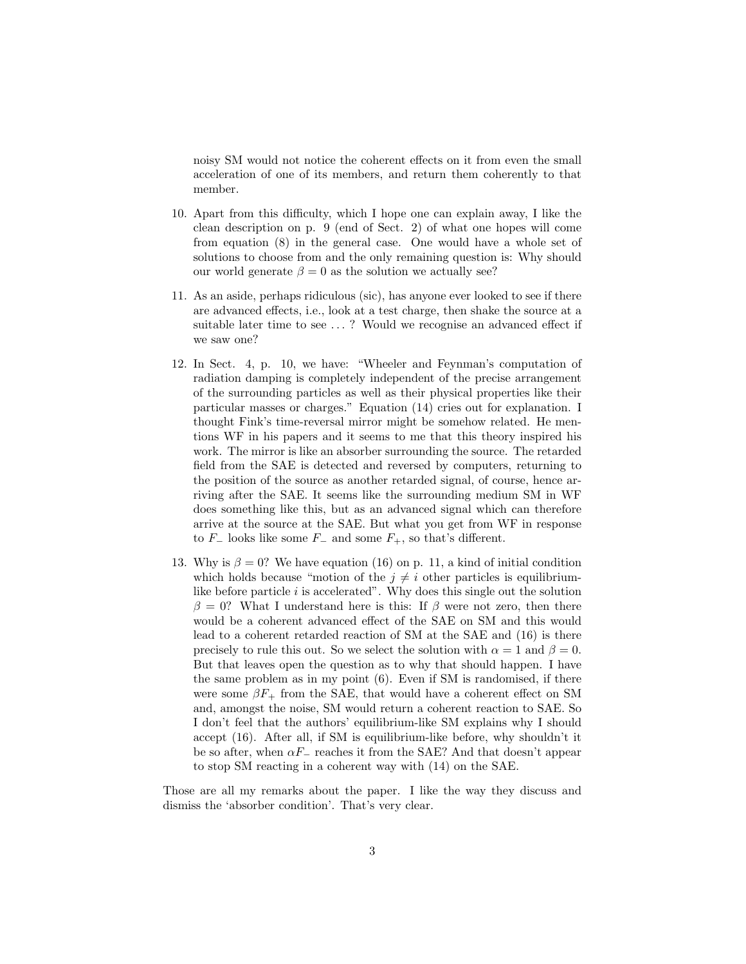noisy SM would not notice the coherent effects on it from even the small acceleration of one of its members, and return them coherently to that member.

- 10. Apart from this difficulty, which I hope one can explain away, I like the clean description on p. 9 (end of Sect. 2) of what one hopes will come from equation (8) in the general case. One would have a whole set of solutions to choose from and the only remaining question is: Why should our world generate  $\beta = 0$  as the solution we actually see?
- 11. As an aside, perhaps ridiculous (sic), has anyone ever looked to see if there are advanced effects, i.e., look at a test charge, then shake the source at a suitable later time to see . . . ? Would we recognise an advanced effect if we saw one?
- 12. In Sect. 4, p. 10, we have: "Wheeler and Feynman's computation of radiation damping is completely independent of the precise arrangement of the surrounding particles as well as their physical properties like their particular masses or charges." Equation (14) cries out for explanation. I thought Fink's time-reversal mirror might be somehow related. He mentions WF in his papers and it seems to me that this theory inspired his work. The mirror is like an absorber surrounding the source. The retarded field from the SAE is detected and reversed by computers, returning to the position of the source as another retarded signal, of course, hence arriving after the SAE. It seems like the surrounding medium SM in WF does something like this, but as an advanced signal which can therefore arrive at the source at the SAE. But what you get from WF in response to  $F_-\$ looks like some  $F_-\$  and some  $F_+$ , so that's different.
- 13. Why is  $\beta = 0$ ? We have equation (16) on p. 11, a kind of initial condition which holds because "motion of the  $j \neq i$  other particles is equilibriumlike before particle  $i$  is accelerated". Why does this single out the solution  $\beta = 0$ ? What I understand here is this: If  $\beta$  were not zero, then there would be a coherent advanced effect of the SAE on SM and this would lead to a coherent retarded reaction of SM at the SAE and (16) is there precisely to rule this out. So we select the solution with  $\alpha = 1$  and  $\beta = 0$ . But that leaves open the question as to why that should happen. I have the same problem as in my point (6). Even if SM is randomised, if there were some  $\beta F_+$  from the SAE, that would have a coherent effect on SM and, amongst the noise, SM would return a coherent reaction to SAE. So I don't feel that the authors' equilibrium-like SM explains why I should accept (16). After all, if SM is equilibrium-like before, why shouldn't it be so after, when  $\alpha F_$  reaches it from the SAE? And that doesn't appear to stop SM reacting in a coherent way with (14) on the SAE.

Those are all my remarks about the paper. I like the way they discuss and dismiss the 'absorber condition'. That's very clear.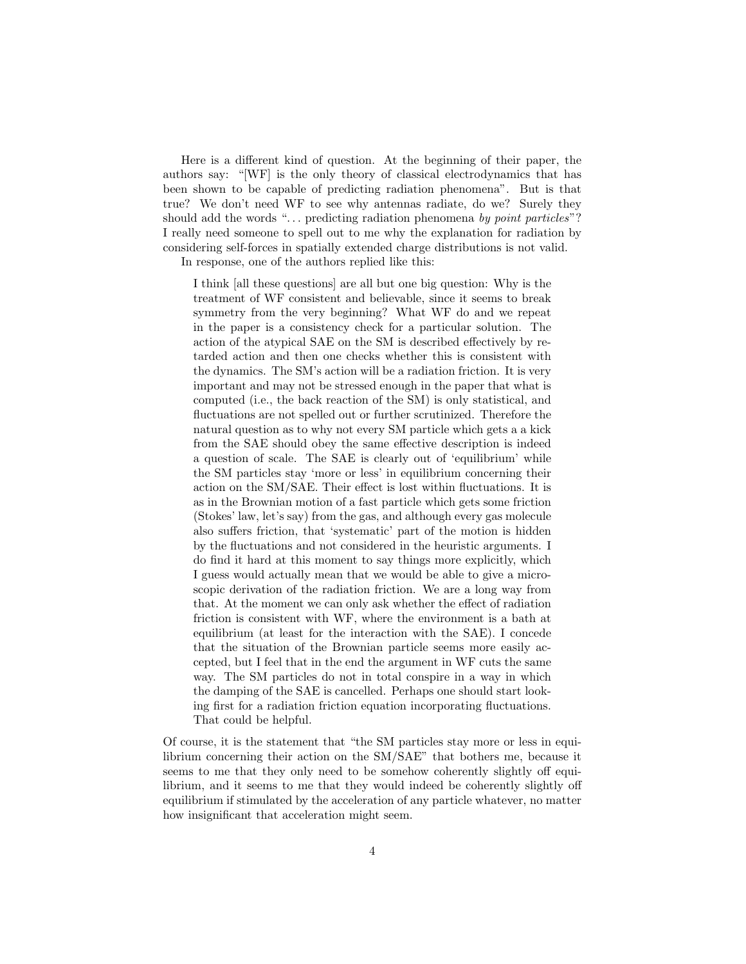Here is a different kind of question. At the beginning of their paper, the authors say: "[WF] is the only theory of classical electrodynamics that has been shown to be capable of predicting radiation phenomena". But is that true? We don't need WF to see why antennas radiate, do we? Surely they should add the words "... predicting radiation phenomena by point particles"? I really need someone to spell out to me why the explanation for radiation by considering self-forces in spatially extended charge distributions is not valid.

In response, one of the authors replied like this:

I think [all these questions] are all but one big question: Why is the treatment of WF consistent and believable, since it seems to break symmetry from the very beginning? What WF do and we repeat in the paper is a consistency check for a particular solution. The action of the atypical SAE on the SM is described effectively by retarded action and then one checks whether this is consistent with the dynamics. The SM's action will be a radiation friction. It is very important and may not be stressed enough in the paper that what is computed (i.e., the back reaction of the SM) is only statistical, and fluctuations are not spelled out or further scrutinized. Therefore the natural question as to why not every SM particle which gets a a kick from the SAE should obey the same effective description is indeed a question of scale. The SAE is clearly out of 'equilibrium' while the SM particles stay 'more or less' in equilibrium concerning their action on the SM/SAE. Their effect is lost within fluctuations. It is as in the Brownian motion of a fast particle which gets some friction (Stokes' law, let's say) from the gas, and although every gas molecule also suffers friction, that 'systematic' part of the motion is hidden by the fluctuations and not considered in the heuristic arguments. I do find it hard at this moment to say things more explicitly, which I guess would actually mean that we would be able to give a microscopic derivation of the radiation friction. We are a long way from that. At the moment we can only ask whether the effect of radiation friction is consistent with WF, where the environment is a bath at equilibrium (at least for the interaction with the SAE). I concede that the situation of the Brownian particle seems more easily accepted, but I feel that in the end the argument in WF cuts the same way. The SM particles do not in total conspire in a way in which the damping of the SAE is cancelled. Perhaps one should start looking first for a radiation friction equation incorporating fluctuations. That could be helpful.

Of course, it is the statement that "the SM particles stay more or less in equilibrium concerning their action on the SM/SAE" that bothers me, because it seems to me that they only need to be somehow coherently slightly off equilibrium, and it seems to me that they would indeed be coherently slightly off equilibrium if stimulated by the acceleration of any particle whatever, no matter how insignificant that acceleration might seem.